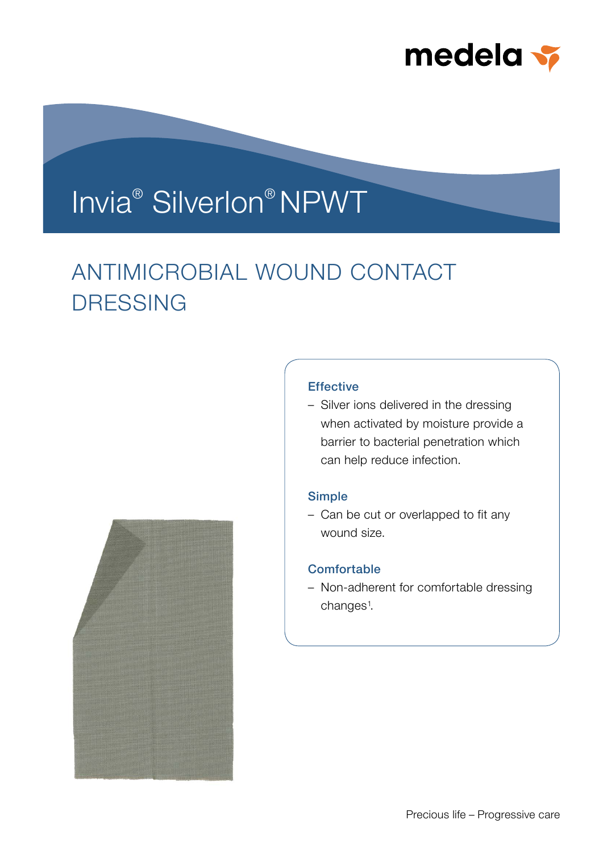

# Invia® Silverlon® NPWT

# ANTIMICROBIAL WOUND CONTACT DRESSING



– Silver ions delivered in the dressing when activated by moisture provide a barrier to bacterial penetration which can help reduce infection.

### Simple

– Can be cut or overlapped to fit any wound size.

## **Comfortable**

– Non-adherent for comfortable dressing changes<sup>1</sup>.